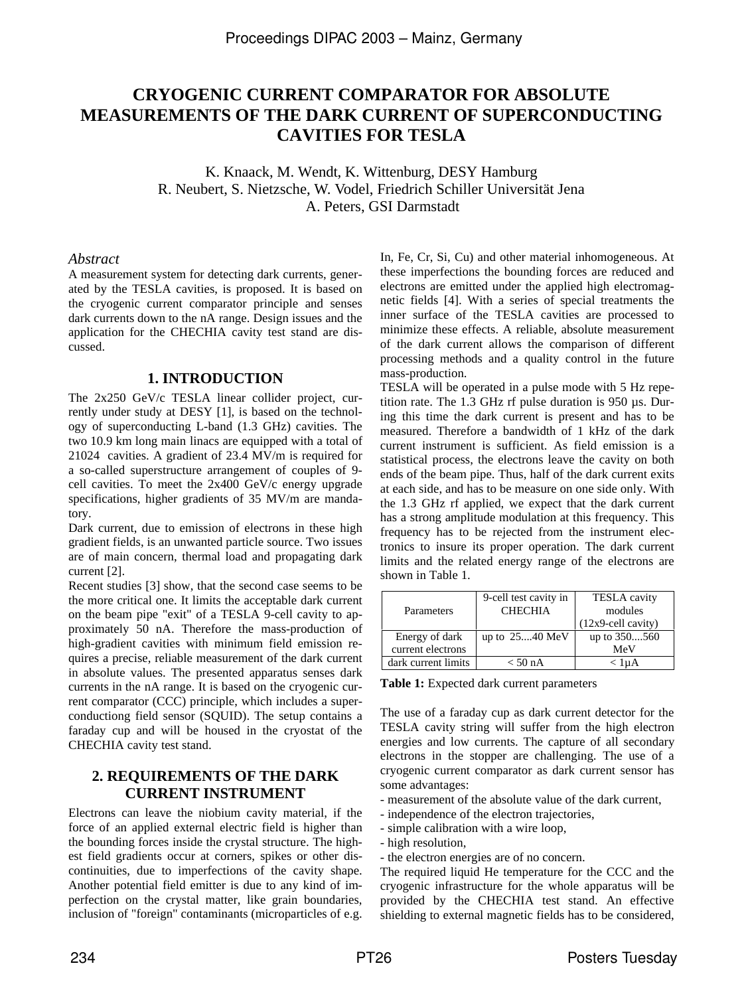# **CRYOGENIC CURRENT COMPARATOR FOR ABSOLUTE MEASUREMENTS OF THE DARK CURRENT OF SUPERCONDUCTING CAVITIES FOR TESLA**

K. Knaack, M. Wendt, K. Wittenburg, DESY Hamburg R. Neubert, S. Nietzsche, W. Vodel, Friedrich Schiller Universität Jena A. Peters, GSI Darmstadt

#### *Abstract*

A measurement system for detecting dark currents, generated by the TESLA cavities, is proposed. It is based on the cryogenic current comparator principle and senses dark currents down to the nA range. Design issues and the application for the CHECHIA cavity test stand are discussed.

#### **1. INTRODUCTION**

The 2x250 GeV/c TESLA linear collider project, currently under study at DESY [1], is based on the technology of superconducting L-band (1.3 GHz) cavities. The two 10.9 km long main linacs are equipped with a total of 21024 cavities. A gradient of 23.4 MV/m is required for a so-called superstructure arrangement of couples of 9 cell cavities. To meet the 2x400 GeV/c energy upgrade specifications, higher gradients of 35 MV/m are mandatory.

Dark current, due to emission of electrons in these high gradient fields, is an unwanted particle source. Two issues are of main concern, thermal load and propagating dark current [2].

Recent studies [3] show, that the second case seems to be the more critical one. It limits the acceptable dark current on the beam pipe "exit" of a TESLA 9-cell cavity to approximately 50 nA. Therefore the mass-production of high-gradient cavities with minimum field emission requires a precise, reliable measurement of the dark current in absolute values. The presented apparatus senses dark currents in the nA range. It is based on the cryogenic current comparator (CCC) principle, which includes a superconductiong field sensor (SQUID). The setup contains a faraday cup and will be housed in the cryostat of the CHECHIA cavity test stand.

## **2. REQUIREMENTS OF THE DARK CURRENT INSTRUMENT**

Electrons can leave the niobium cavity material, if the force of an applied external electric field is higher than the bounding forces inside the crystal structure. The highest field gradients occur at corners, spikes or other discontinuities, due to imperfections of the cavity shape. Another potential field emitter is due to any kind of imperfection on the crystal matter, like grain boundaries, inclusion of "foreign" contaminants (microparticles of e.g. In, Fe, Cr, Si, Cu) and other material inhomogeneous. At these imperfections the bounding forces are reduced and electrons are emitted under the applied high electromagnetic fields [4]. With a series of special treatments the inner surface of the TESLA cavities are processed to minimize these effects. A reliable, absolute measurement of the dark current allows the comparison of different processing methods and a quality control in the future mass-production.

TESLA will be operated in a pulse mode with 5 Hz repetition rate. The 1.3 GHz rf pulse duration is 950 µs. During this time the dark current is present and has to be measured. Therefore a bandwidth of 1 kHz of the dark current instrument is sufficient. As field emission is a statistical process, the electrons leave the cavity on both ends of the beam pipe. Thus, half of the dark current exits at each side, and has to be measure on one side only. With the 1.3 GHz rf applied, we expect that the dark current has a strong amplitude modulation at this frequency. This frequency has to be rejected from the instrument electronics to insure its proper operation. The dark current limits and the related energy range of the electrons are shown in Table 1.

|                     | 9-cell test cavity in | <b>TESLA</b> cavity  |
|---------------------|-----------------------|----------------------|
| Parameters          | <b>CHECHIA</b>        | modules              |
|                     |                       | $(12x9-cell cavity)$ |
| Energy of dark      | up to $2540$ MeV      | up to 350560         |
| current electrons   |                       | MeV                  |
| dark current limits | $<$ 50 nA             | $< 1$ u $\rm A$      |

**Table 1:** Expected dark current parameters

The use of a faraday cup as dark current detector for the TESLA cavity string will suffer from the high electron energies and low currents. The capture of all secondary electrons in the stopper are challenging. The use of a cryogenic current comparator as dark current sensor has some advantages:

- measurement of the absolute value of the dark current,
- independence of the electron trajectories,
- simple calibration with a wire loop,
- high resolution,
- the electron energies are of no concern.

The required liquid He temperature for the CCC and the cryogenic infrastructure for the whole apparatus will be provided by the CHECHIA test stand. An effective shielding to external magnetic fields has to be considered,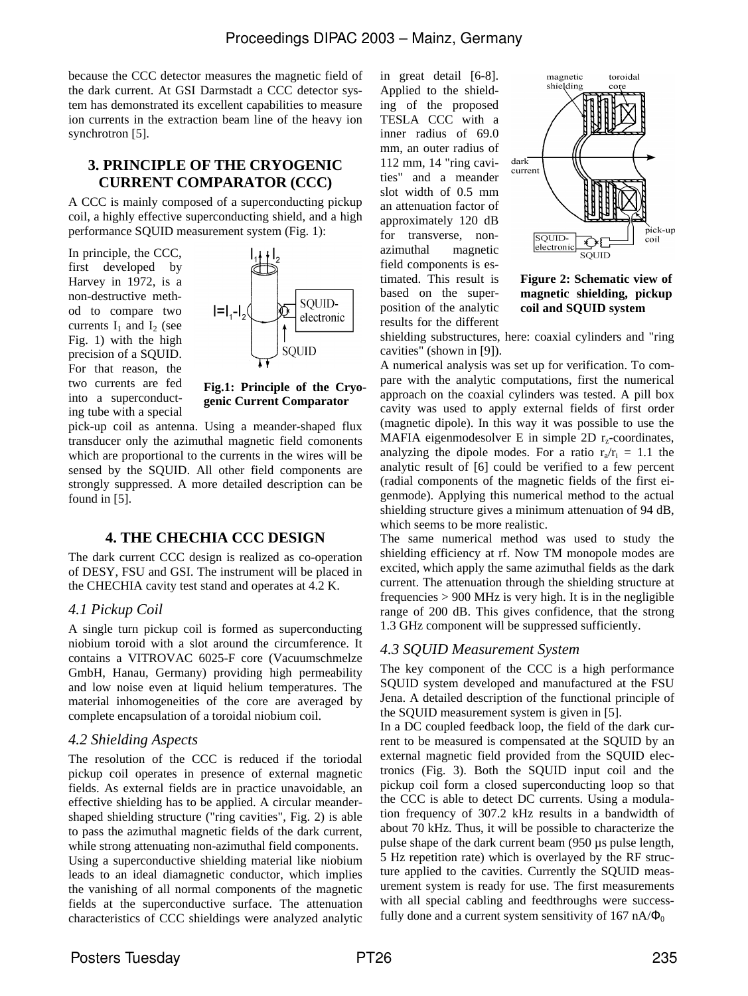because the CCC detector measures the magnetic field of the dark current. At GSI Darmstadt a CCC detector system has demonstrated its excellent capabilities to measure ion currents in the extraction beam line of the heavy ion synchrotron [5].

## **3. PRINCIPLE OF THE CRYOGENIC CURRENT COMPARATOR (CCC)**

A CCC is mainly composed of a superconducting pickup coil, a highly effective superconducting shield, and a high performance SQUID measurement system (Fig. 1):

In principle, the CCC, first developed by Harvey in 1972, is a non-destructive method to compare two currents  $I_1$  and  $I_2$  (see Fig. 1) with the high precision of a SQUID. For that reason, the two currents are fed into a superconducting tube with a special



**Fig.1: Principle of the Cryogenic Current Comparator**

pick-up coil as antenna. Using a meander-shaped flux transducer only the azimuthal magnetic field comonents which are proportional to the currents in the wires will be sensed by the SQUID. All other field components are strongly suppressed. A more detailed description can be found in [5].

# **4. THE CHECHIA CCC DESIGN**

The dark current CCC design is realized as co-operation of DESY, FSU and GSI. The instrument will be placed in the CHECHIA cavity test stand and operates at 4.2 K.

### *4.1 Pickup Coil*

A single turn pickup coil is formed as superconducting niobium toroid with a slot around the circumference. It contains a VITROVAC 6025-F core (Vacuumschmelze GmbH, Hanau, Germany) providing high permeability and low noise even at liquid helium temperatures. The material inhomogeneities of the core are averaged by complete encapsulation of a toroidal niobium coil.

### *4.2 Shielding Aspects*

The resolution of the CCC is reduced if the toriodal pickup coil operates in presence of external magnetic fields. As external fields are in practice unavoidable, an effective shielding has to be applied. A circular meandershaped shielding structure ("ring cavities", Fig. 2) is able to pass the azimuthal magnetic fields of the dark current, while strong attenuating non-azimuthal field components. Using a superconductive shielding material like niobium leads to an ideal diamagnetic conductor, which implies the vanishing of all normal components of the magnetic fields at the superconductive surface. The attenuation characteristics of CCC shieldings were analyzed analytic

in great detail [6-8]. Applied to the shielding of the proposed TESLA CCC with a inner radius of 69.0 mm, an outer radius of 112 mm, 14 "ring cavities" and a meander slot width of 0.5 mm an attenuation factor of approximately 120 dB for transverse, nonazimuthal magnetic field components is estimated. This result is based on the superposition of the analytic results for the different



**Figure 2: Schematic view of magnetic shielding, pickup coil and SQUID system**

shielding substructures, here: coaxial cylinders and "ring cavities" (shown in [9]).

A numerical analysis was set up for verification. To compare with the analytic computations, first the numerical approach on the coaxial cylinders was tested. A pill box cavity was used to apply external fields of first order (magnetic dipole). In this way it was possible to use the MAFIA eigenmodesolver E in simple 2D  $r<sub>z</sub>$ -coordinates, analyzing the dipole modes. For a ratio  $r_a/r_i = 1.1$  the analytic result of [6] could be verified to a few percent (radial components of the magnetic fields of the first eigenmode). Applying this numerical method to the actual shielding structure gives a minimum attenuation of 94 dB, which seems to be more realistic.

The same numerical method was used to study the shielding efficiency at rf. Now TM monopole modes are excited, which apply the same azimuthal fields as the dark current. The attenuation through the shielding structure at frequencies > 900 MHz is very high. It is in the negligible range of 200 dB. This gives confidence, that the strong 1.3 GHz component will be suppressed sufficiently.

# *4.3 SQUID Measurement System*

The key component of the CCC is a high performance SQUID system developed and manufactured at the FSU Jena. A detailed description of the functional principle of the SQUID measurement system is given in [5].

In a DC coupled feedback loop, the field of the dark current to be measured is compensated at the SQUID by an external magnetic field provided from the SQUID electronics (Fig. 3). Both the SQUID input coil and the pickup coil form a closed superconducting loop so that the CCC is able to detect DC currents. Using a modulation frequency of 307.2 kHz results in a bandwidth of about 70 kHz. Thus, it will be possible to characterize the pulse shape of the dark current beam (950 µs pulse length, 5 Hz repetition rate) which is overlayed by the RF structure applied to the cavities. Currently the SQUID measurement system is ready for use. The first measurements with all special cabling and feedthroughs were successfully done and a current system sensitivity of 167 nA/ $\Phi_0$